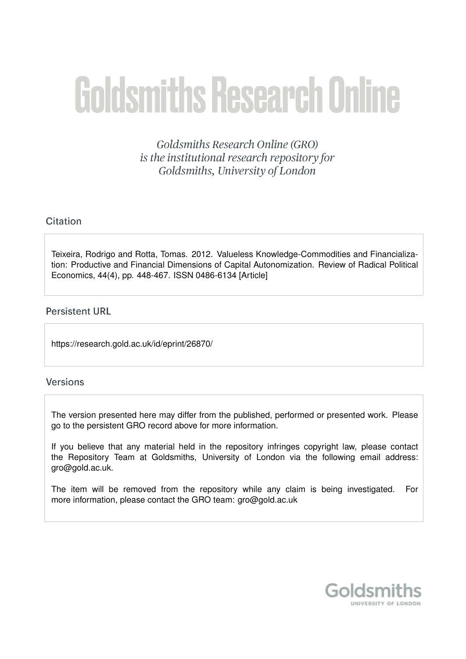# **Goldsmiths Research Online**

Goldsmiths Research Online (GRO) is the institutional research repository for Goldsmiths, University of London

## Citation

Teixeira, Rodrigo and Rotta, Tomas. 2012. Valueless Knowledge-Commodities and Financialization: Productive and Financial Dimensions of Capital Autonomization. Review of Radical Political Economics, 44(4), pp. 448-467. ISSN 0486-6134 [Article]

## **Persistent URL**

https://research.gold.ac.uk/id/eprint/26870/

#### **Versions**

The version presented here may differ from the published, performed or presented work. Please go to the persistent GRO record above for more information.

If you believe that any material held in the repository infringes copyright law, please contact the Repository Team at Goldsmiths, University of London via the following email address: gro@gold.ac.uk.

The item will be removed from the repository while any claim is being investigated. For more information, please contact the GRO team: gro@gold.ac.uk

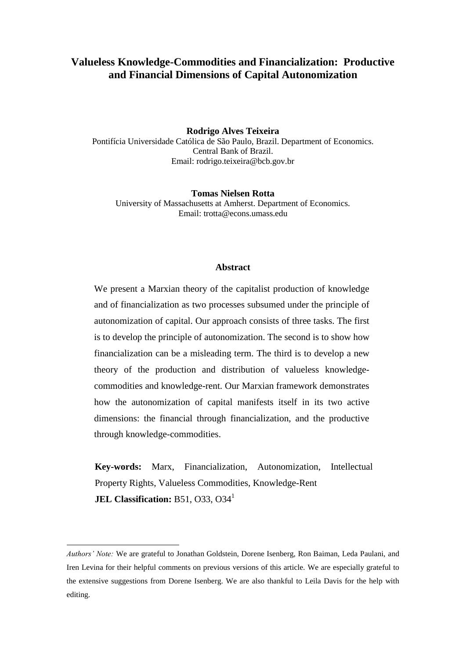# **Valueless Knowledge-Commodities and Financialization: Productive and Financial Dimensions of Capital Autonomization**

#### **Rodrigo Alves Teixeira**

Pontifícia Universidade Católica de São Paulo, Brazil. Department of Economics. Central Bank of Brazil. Email: rodrigo.teixeira@bcb.gov.br

**Tomas Nielsen Rotta** University of Massachusetts at Amherst. Department of Economics. Email: trotta@econs.umass.edu

#### **Abstract**

We present a Marxian theory of the capitalist production of knowledge and of financialization as two processes subsumed under the principle of autonomization of capital. Our approach consists of three tasks. The first is to develop the principle of autonomization. The second is to show how financialization can be a misleading term. The third is to develop a new theory of the production and distribution of valueless knowledgecommodities and knowledge-rent. Our Marxian framework demonstrates how the autonomization of capital manifests itself in its two active dimensions: the financial through financialization, and the productive through knowledge-commodities.

**Key-words:** Marx, Financialization, Autonomization, Intellectual Property Rights, Valueless Commodities, Knowledge-Rent **JEL Classification:** B51, O33, O34<sup>1</sup>

<u>.</u>

*Authors' Note:* We are grateful to Jonathan Goldstein, Dorene Isenberg, Ron Baiman, Leda Paulani, and Iren Levina for their helpful comments on previous versions of this article. We are especially grateful to the extensive suggestions from Dorene Isenberg. We are also thankful to Leila Davis for the help with editing.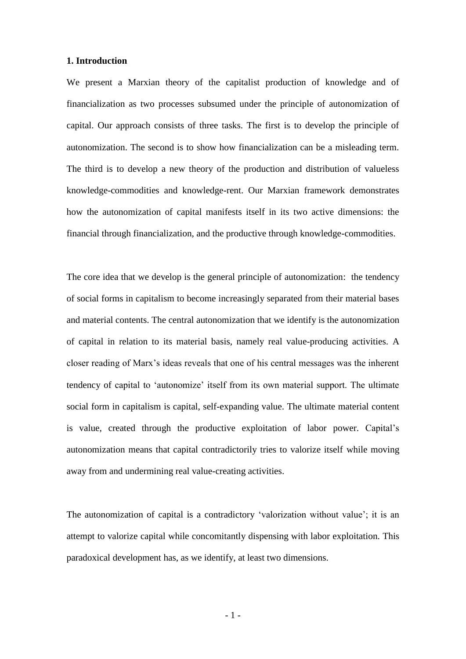#### **1. Introduction**

We present a Marxian theory of the capitalist production of knowledge and of financialization as two processes subsumed under the principle of autonomization of capital. Our approach consists of three tasks. The first is to develop the principle of autonomization. The second is to show how financialization can be a misleading term. The third is to develop a new theory of the production and distribution of valueless knowledge-commodities and knowledge-rent. Our Marxian framework demonstrates how the autonomization of capital manifests itself in its two active dimensions: the financial through financialization, and the productive through knowledge-commodities.

The core idea that we develop is the general principle of autonomization: the tendency of social forms in capitalism to become increasingly separated from their material bases and material contents. The central autonomization that we identify is the autonomization of capital in relation to its material basis, namely real value-producing activities. A closer reading of Marx's ideas reveals that one of his central messages was the inherent tendency of capital to 'autonomize' itself from its own material support. The ultimate social form in capitalism is capital, self-expanding value. The ultimate material content is value, created through the productive exploitation of labor power. Capital's autonomization means that capital contradictorily tries to valorize itself while moving away from and undermining real value-creating activities.

The autonomization of capital is a contradictory 'valorization without value'; it is an attempt to valorize capital while concomitantly dispensing with labor exploitation. This paradoxical development has, as we identify, at least two dimensions.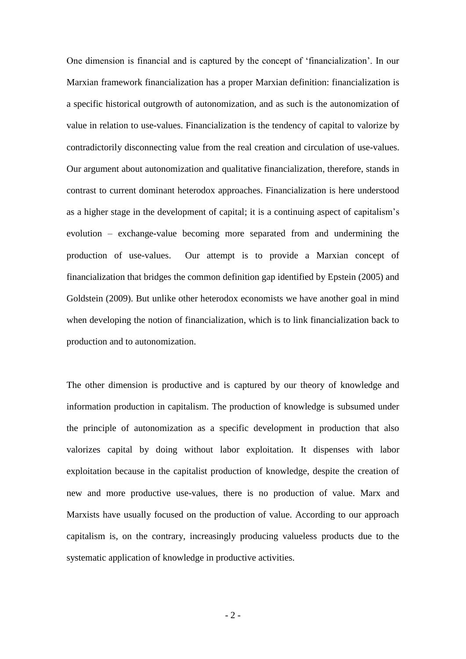One dimension is financial and is captured by the concept of ‗financialization'. In our Marxian framework financialization has a proper Marxian definition: financialization is a specific historical outgrowth of autonomization, and as such is the autonomization of value in relation to use-values. Financialization is the tendency of capital to valorize by contradictorily disconnecting value from the real creation and circulation of use-values. Our argument about autonomization and qualitative financialization, therefore, stands in contrast to current dominant heterodox approaches. Financialization is here understood as a higher stage in the development of capital; it is a continuing aspect of capitalism's evolution – exchange-value becoming more separated from and undermining the production of use-values. Our attempt is to provide a Marxian concept of financialization that bridges the common definition gap identified by Epstein (2005) and Goldstein (2009). But unlike other heterodox economists we have another goal in mind when developing the notion of financialization, which is to link financialization back to production and to autonomization.

The other dimension is productive and is captured by our theory of knowledge and information production in capitalism. The production of knowledge is subsumed under the principle of autonomization as a specific development in production that also valorizes capital by doing without labor exploitation. It dispenses with labor exploitation because in the capitalist production of knowledge, despite the creation of new and more productive use-values, there is no production of value. Marx and Marxists have usually focused on the production of value. According to our approach capitalism is, on the contrary, increasingly producing valueless products due to the systematic application of knowledge in productive activities.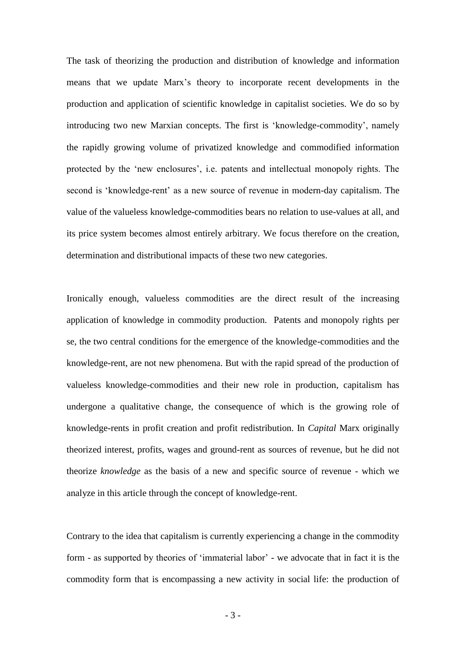The task of theorizing the production and distribution of knowledge and information means that we update Marx's theory to incorporate recent developments in the production and application of scientific knowledge in capitalist societies. We do so by introducing two new Marxian concepts. The first is 'knowledge-commodity', namely the rapidly growing volume of privatized knowledge and commodified information protected by the 'new enclosures', i.e. patents and intellectual monopoly rights. The second is 'knowledge-rent' as a new source of revenue in modern-day capitalism. The value of the valueless knowledge-commodities bears no relation to use-values at all, and its price system becomes almost entirely arbitrary. We focus therefore on the creation, determination and distributional impacts of these two new categories.

Ironically enough, valueless commodities are the direct result of the increasing application of knowledge in commodity production. Patents and monopoly rights per se, the two central conditions for the emergence of the knowledge-commodities and the knowledge-rent, are not new phenomena. But with the rapid spread of the production of valueless knowledge-commodities and their new role in production, capitalism has undergone a qualitative change, the consequence of which is the growing role of knowledge-rents in profit creation and profit redistribution. In *Capital* Marx originally theorized interest, profits, wages and ground-rent as sources of revenue, but he did not theorize *knowledge* as the basis of a new and specific source of revenue - which we analyze in this article through the concept of knowledge-rent.

Contrary to the idea that capitalism is currently experiencing a change in the commodity form - as supported by theories of 'immaterial labor' - we advocate that in fact it is the commodity form that is encompassing a new activity in social life: the production of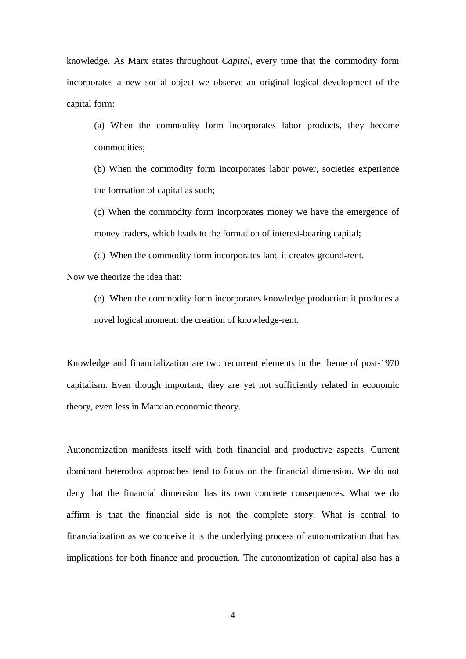knowledge. As Marx states throughout *Capital*, every time that the commodity form incorporates a new social object we observe an original logical development of the capital form:

(a) When the commodity form incorporates labor products, they become commodities;

(b) When the commodity form incorporates labor power, societies experience the formation of capital as such;

(c) When the commodity form incorporates money we have the emergence of money traders, which leads to the formation of interest-bearing capital;

(d) When the commodity form incorporates land it creates ground-rent.

Now we theorize the idea that:

(e) When the commodity form incorporates knowledge production it produces a novel logical moment: the creation of knowledge-rent.

Knowledge and financialization are two recurrent elements in the theme of post-1970 capitalism. Even though important, they are yet not sufficiently related in economic theory, even less in Marxian economic theory.

Autonomization manifests itself with both financial and productive aspects. Current dominant heterodox approaches tend to focus on the financial dimension. We do not deny that the financial dimension has its own concrete consequences. What we do affirm is that the financial side is not the complete story. What is central to financialization as we conceive it is the underlying process of autonomization that has implications for both finance and production. The autonomization of capital also has a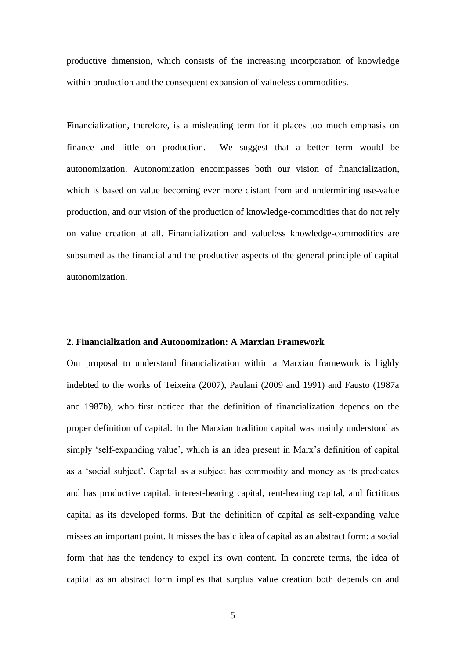productive dimension, which consists of the increasing incorporation of knowledge within production and the consequent expansion of valueless commodities.

Financialization, therefore, is a misleading term for it places too much emphasis on finance and little on production. We suggest that a better term would be autonomization. Autonomization encompasses both our vision of financialization, which is based on value becoming ever more distant from and undermining use-value production, and our vision of the production of knowledge-commodities that do not rely on value creation at all. Financialization and valueless knowledge-commodities are subsumed as the financial and the productive aspects of the general principle of capital autonomization.

#### **2. Financialization and Autonomization: A Marxian Framework**

Our proposal to understand financialization within a Marxian framework is highly indebted to the works of Teixeira (2007), Paulani (2009 and 1991) and Fausto (1987a and 1987b), who first noticed that the definition of financialization depends on the proper definition of capital. In the Marxian tradition capital was mainly understood as simply 'self-expanding value', which is an idea present in Marx's definition of capital as a 'social subject'. Capital as a subject has commodity and money as its predicates and has productive capital, interest-bearing capital, rent-bearing capital, and fictitious capital as its developed forms. But the definition of capital as self-expanding value misses an important point. It misses the basic idea of capital as an abstract form: a social form that has the tendency to expel its own content. In concrete terms, the idea of capital as an abstract form implies that surplus value creation both depends on and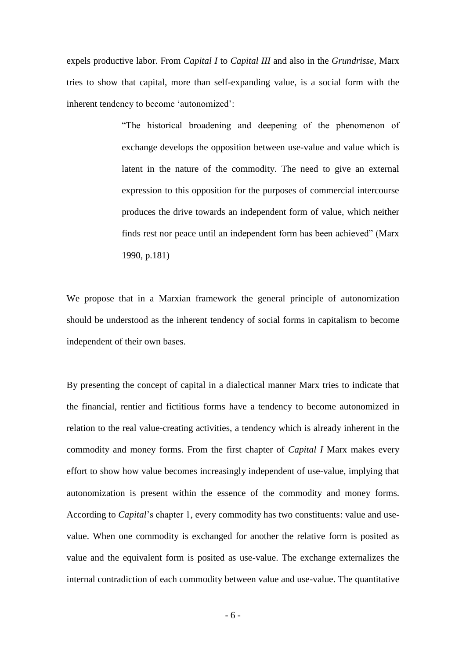expels productive labor. From *Capital I* to *Capital III* and also in the *Grundrisse,* Marx tries to show that capital, more than self-expanding value, is a social form with the inherent tendency to become 'autonomized':

> ―The historical broadening and deepening of the phenomenon of exchange develops the opposition between use-value and value which is latent in the nature of the commodity. The need to give an external expression to this opposition for the purposes of commercial intercourse produces the drive towards an independent form of value, which neither finds rest nor peace until an independent form has been achieved" (Marx 1990, p.181)

We propose that in a Marxian framework the general principle of autonomization should be understood as the inherent tendency of social forms in capitalism to become independent of their own bases.

By presenting the concept of capital in a dialectical manner Marx tries to indicate that the financial, rentier and fictitious forms have a tendency to become autonomized in relation to the real value-creating activities, a tendency which is already inherent in the commodity and money forms. From the first chapter of *Capital I* Marx makes every effort to show how value becomes increasingly independent of use-value, implying that autonomization is present within the essence of the commodity and money forms. According to *Capital*'s chapter 1, every commodity has two constituents: value and usevalue. When one commodity is exchanged for another the relative form is posited as value and the equivalent form is posited as use-value. The exchange externalizes the internal contradiction of each commodity between value and use-value. The quantitative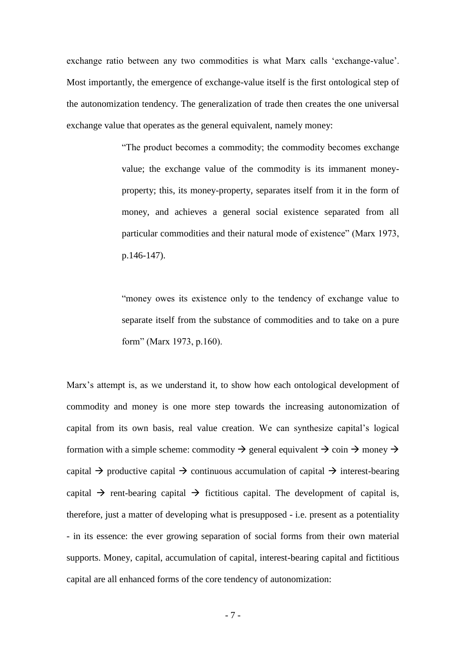exchange ratio between any two commodities is what Marx calls 'exchange-value'. Most importantly, the emergence of exchange-value itself is the first ontological step of the autonomization tendency. The generalization of trade then creates the one universal exchange value that operates as the general equivalent, namely money:

> ―The product becomes a commodity; the commodity becomes exchange value; the exchange value of the commodity is its immanent moneyproperty; this, its money-property, separates itself from it in the form of money, and achieves a general social existence separated from all particular commodities and their natural mode of existence" (Marx 1973, p.146-147).

> "money owes its existence only to the tendency of exchange value to separate itself from the substance of commodities and to take on a pure form" (Marx 1973, p.160).

Marx's attempt is, as we understand it, to show how each ontological development of commodity and money is one more step towards the increasing autonomization of capital from its own basis, real value creation. We can synthesize capital's logical formation with a simple scheme: commodity  $\rightarrow$  general equivalent  $\rightarrow$  coin  $\rightarrow$  money  $\rightarrow$ capital  $\rightarrow$  productive capital  $\rightarrow$  continuous accumulation of capital  $\rightarrow$  interest-bearing capital  $\rightarrow$  rent-bearing capital  $\rightarrow$  fictitious capital. The development of capital is, therefore, just a matter of developing what is presupposed - i.e. present as a potentiality - in its essence: the ever growing separation of social forms from their own material supports. Money, capital, accumulation of capital, interest-bearing capital and fictitious capital are all enhanced forms of the core tendency of autonomization: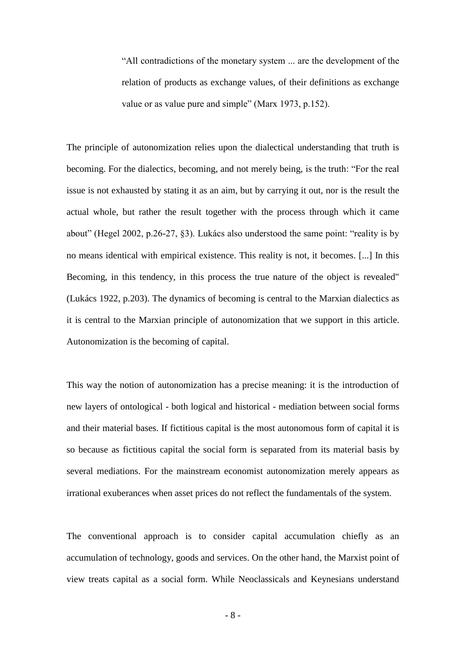―All contradictions of the monetary system ... are the development of the relation of products as exchange values, of their definitions as exchange value or as value pure and simple" (Marx 1973, p.152).

The principle of autonomization relies upon the dialectical understanding that truth is becoming. For the dialectics, becoming, and not merely being, is the truth: "For the real issue is not exhausted by stating it as an aim, but by carrying it out, nor is the result the actual whole, but rather the result together with the process through which it came about" (Hegel 2002, p.26-27, §3). Lukács also understood the same point: "reality is by no means identical with empirical existence. This reality is not, it becomes. [...] In this Becoming, in this tendency, in this process the true nature of the object is revealed" (Lukács 1922, p.203). The dynamics of becoming is central to the Marxian dialectics as it is central to the Marxian principle of autonomization that we support in this article. Autonomization is the becoming of capital.

This way the notion of autonomization has a precise meaning: it is the introduction of new layers of ontological - both logical and historical - mediation between social forms and their material bases. If fictitious capital is the most autonomous form of capital it is so because as fictitious capital the social form is separated from its material basis by several mediations. For the mainstream economist autonomization merely appears as irrational exuberances when asset prices do not reflect the fundamentals of the system.

The conventional approach is to consider capital accumulation chiefly as an accumulation of technology, goods and services. On the other hand, the Marxist point of view treats capital as a social form. While Neoclassicals and Keynesians understand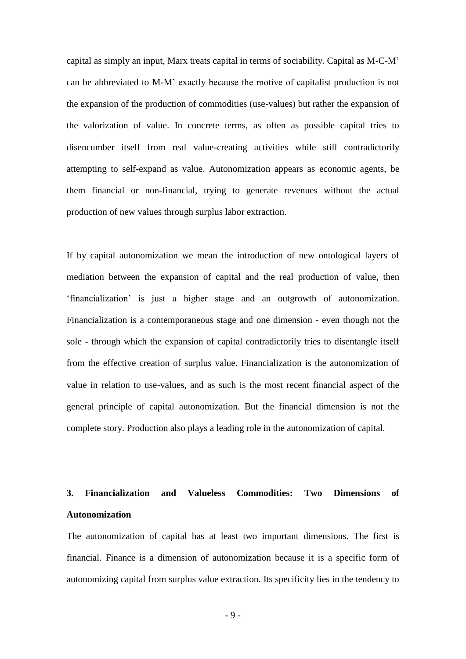capital as simply an input, Marx treats capital in terms of sociability. Capital as M-C-M' can be abbreviated to M-M' exactly because the motive of capitalist production is not the expansion of the production of commodities (use-values) but rather the expansion of the valorization of value. In concrete terms, as often as possible capital tries to disencumber itself from real value-creating activities while still contradictorily attempting to self-expand as value. Autonomization appears as economic agents, be them financial or non-financial, trying to generate revenues without the actual production of new values through surplus labor extraction.

If by capital autonomization we mean the introduction of new ontological layers of mediation between the expansion of capital and the real production of value, then ‗financialization' is just a higher stage and an outgrowth of autonomization. Financialization is a contemporaneous stage and one dimension - even though not the sole - through which the expansion of capital contradictorily tries to disentangle itself from the effective creation of surplus value. Financialization is the autonomization of value in relation to use-values, and as such is the most recent financial aspect of the general principle of capital autonomization. But the financial dimension is not the complete story. Production also plays a leading role in the autonomization of capital.

# **3. Financialization and Valueless Commodities: Two Dimensions of Autonomization**

The autonomization of capital has at least two important dimensions. The first is financial. Finance is a dimension of autonomization because it is a specific form of autonomizing capital from surplus value extraction. Its specificity lies in the tendency to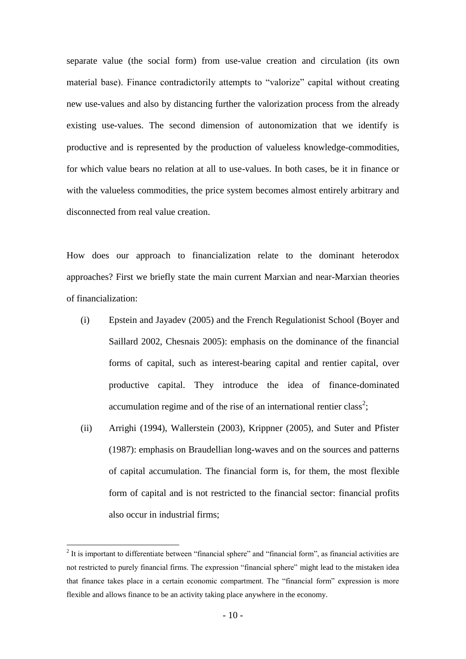separate value (the social form) from use-value creation and circulation (its own material base). Finance contradictorily attempts to "valorize" capital without creating new use-values and also by distancing further the valorization process from the already existing use-values. The second dimension of autonomization that we identify is productive and is represented by the production of valueless knowledge-commodities, for which value bears no relation at all to use-values. In both cases, be it in finance or with the valueless commodities, the price system becomes almost entirely arbitrary and disconnected from real value creation.

How does our approach to financialization relate to the dominant heterodox approaches? First we briefly state the main current Marxian and near-Marxian theories of financialization:

- (i) Epstein and Jayadev (2005) and the French Regulationist School (Boyer and Saillard 2002, Chesnais 2005): emphasis on the dominance of the financial forms of capital, such as interest-bearing capital and rentier capital, over productive capital. They introduce the idea of finance-dominated accumulation regime and of the rise of an international rentier class<sup>2</sup>;
- (ii) Arrighi (1994), Wallerstein (2003), Krippner (2005), and Suter and Pfister (1987): emphasis on Braudellian long-waves and on the sources and patterns of capital accumulation. The financial form is, for them, the most flexible form of capital and is not restricted to the financial sector: financial profits also occur in industrial firms;

<u>.</u>

 $2$  It is important to differentiate between "financial sphere" and "financial form", as financial activities are not restricted to purely financial firms. The expression "financial sphere" might lead to the mistaken idea that finance takes place in a certain economic compartment. The "financial form" expression is more flexible and allows finance to be an activity taking place anywhere in the economy.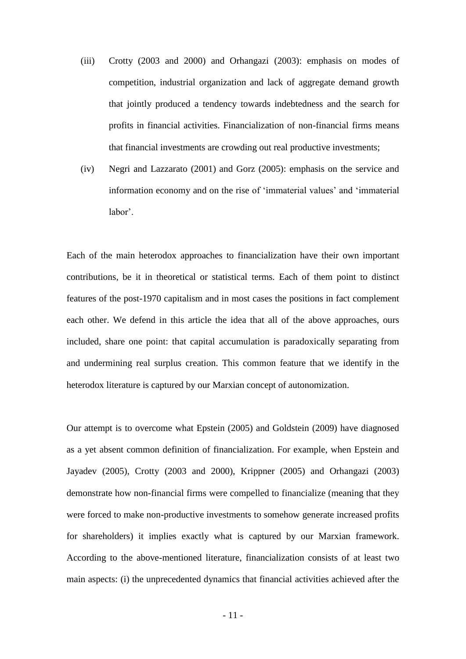- (iii) Crotty (2003 and 2000) and Orhangazi (2003): emphasis on modes of competition, industrial organization and lack of aggregate demand growth that jointly produced a tendency towards indebtedness and the search for profits in financial activities. Financialization of non-financial firms means that financial investments are crowding out real productive investments;
- (iv) Negri and Lazzarato (2001) and Gorz (2005): emphasis on the service and information economy and on the rise of 'immaterial values' and 'immaterial labor'.

Each of the main heterodox approaches to financialization have their own important contributions, be it in theoretical or statistical terms. Each of them point to distinct features of the post-1970 capitalism and in most cases the positions in fact complement each other. We defend in this article the idea that all of the above approaches, ours included, share one point: that capital accumulation is paradoxically separating from and undermining real surplus creation. This common feature that we identify in the heterodox literature is captured by our Marxian concept of autonomization.

Our attempt is to overcome what Epstein (2005) and Goldstein (2009) have diagnosed as a yet absent common definition of financialization. For example, when Epstein and Jayadev (2005), Crotty (2003 and 2000), Krippner (2005) and Orhangazi (2003) demonstrate how non-financial firms were compelled to financialize (meaning that they were forced to make non-productive investments to somehow generate increased profits for shareholders) it implies exactly what is captured by our Marxian framework. According to the above-mentioned literature, financialization consists of at least two main aspects: (i) the unprecedented dynamics that financial activities achieved after the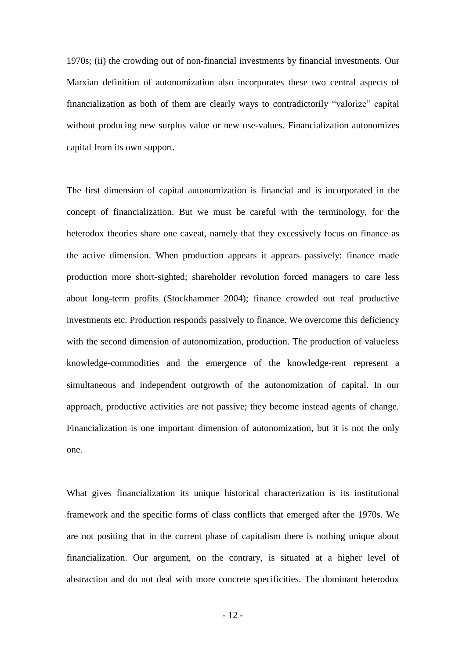1970s; (ii) the crowding out of non-financial investments by financial investments. Our Marxian definition of autonomization also incorporates these two central aspects of financialization as both of them are clearly ways to contradictorily "valorize" capital without producing new surplus value or new use-values. Financialization autonomizes capital from its own support.

The first dimension of capital autonomization is financial and is incorporated in the concept of financialization. But we must be careful with the terminology, for the heterodox theories share one caveat, namely that they excessively focus on finance as the active dimension. When production appears it appears passively: finance made production more short-sighted; shareholder revolution forced managers to care less about long-term profits (Stockhammer 2004); finance crowded out real productive investments etc. Production responds passively to finance. We overcome this deficiency with the second dimension of autonomization, production. The production of valueless knowledge-commodities and the emergence of the knowledge-rent represent a simultaneous and independent outgrowth of the autonomization of capital. In our approach, productive activities are not passive; they become instead agents of change. Financialization is one important dimension of autonomization, but it is not the only one.

What gives financialization its unique historical characterization is its institutional framework and the specific forms of class conflicts that emerged after the 1970s. We are not positing that in the current phase of capitalism there is nothing unique about financialization. Our argument, on the contrary, is situated at a higher level of abstraction and do not deal with more concrete specificities. The dominant heterodox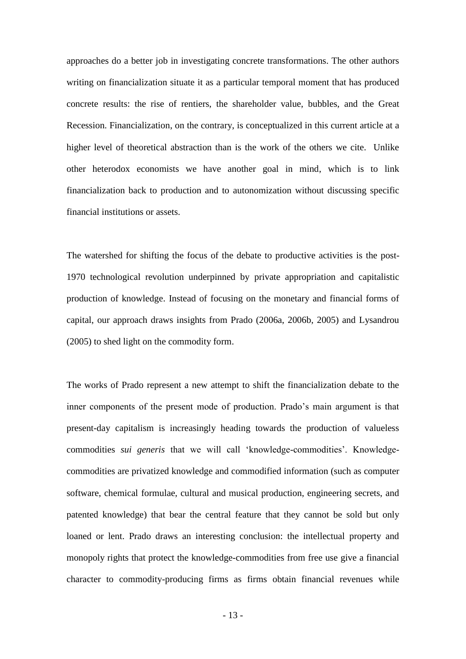approaches do a better job in investigating concrete transformations. The other authors writing on financialization situate it as a particular temporal moment that has produced concrete results: the rise of rentiers, the shareholder value, bubbles, and the Great Recession. Financialization, on the contrary, is conceptualized in this current article at a higher level of theoretical abstraction than is the work of the others we cite. Unlike other heterodox economists we have another goal in mind, which is to link financialization back to production and to autonomization without discussing specific financial institutions or assets.

The watershed for shifting the focus of the debate to productive activities is the post-1970 technological revolution underpinned by private appropriation and capitalistic production of knowledge. Instead of focusing on the monetary and financial forms of capital, our approach draws insights from Prado (2006a, 2006b, 2005) and Lysandrou (2005) to shed light on the commodity form.

The works of Prado represent a new attempt to shift the financialization debate to the inner components of the present mode of production. Prado's main argument is that present-day capitalism is increasingly heading towards the production of valueless commodities *sui generis* that we will call ‗knowledge-commodities'. Knowledgecommodities are privatized knowledge and commodified information (such as computer software, chemical formulae, cultural and musical production, engineering secrets, and patented knowledge) that bear the central feature that they cannot be sold but only loaned or lent. Prado draws an interesting conclusion: the intellectual property and monopoly rights that protect the knowledge-commodities from free use give a financial character to commodity-producing firms as firms obtain financial revenues while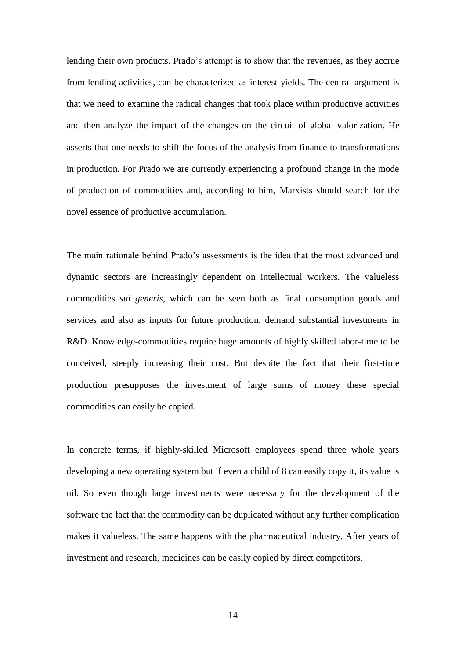lending their own products. Prado's attempt is to show that the revenues, as they accrue from lending activities, can be characterized as interest yields. The central argument is that we need to examine the radical changes that took place within productive activities and then analyze the impact of the changes on the circuit of global valorization. He asserts that one needs to shift the focus of the analysis from finance to transformations in production. For Prado we are currently experiencing a profound change in the mode of production of commodities and, according to him, Marxists should search for the novel essence of productive accumulation.

The main rationale behind Prado's assessments is the idea that the most advanced and dynamic sectors are increasingly dependent on intellectual workers. The valueless commodities *sui generis*, which can be seen both as final consumption goods and services and also as inputs for future production, demand substantial investments in R&D. Knowledge-commodities require huge amounts of highly skilled labor-time to be conceived, steeply increasing their cost. But despite the fact that their first-time production presupposes the investment of large sums of money these special commodities can easily be copied.

In concrete terms, if highly-skilled Microsoft employees spend three whole years developing a new operating system but if even a child of 8 can easily copy it, its value is nil. So even though large investments were necessary for the development of the software the fact that the commodity can be duplicated without any further complication makes it valueless. The same happens with the pharmaceutical industry. After years of investment and research, medicines can be easily copied by direct competitors.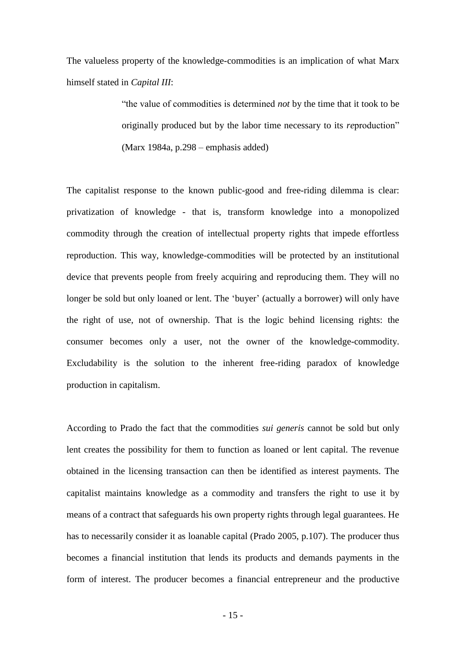The valueless property of the knowledge-commodities is an implication of what Marx himself stated in *Capital III*:

> ―the value of commodities is determined *not* by the time that it took to be originally produced but by the labor time necessary to its *reproduction*" (Marx 1984a, p.298 – emphasis added)

The capitalist response to the known public-good and free-riding dilemma is clear: privatization of knowledge - that is, transform knowledge into a monopolized commodity through the creation of intellectual property rights that impede effortless reproduction. This way, knowledge-commodities will be protected by an institutional device that prevents people from freely acquiring and reproducing them. They will no longer be sold but only loaned or lent. The 'buyer' (actually a borrower) will only have the right of use, not of ownership. That is the logic behind licensing rights: the consumer becomes only a user, not the owner of the knowledge-commodity. Excludability is the solution to the inherent free-riding paradox of knowledge production in capitalism.

According to Prado the fact that the commodities *sui generis* cannot be sold but only lent creates the possibility for them to function as loaned or lent capital. The revenue obtained in the licensing transaction can then be identified as interest payments. The capitalist maintains knowledge as a commodity and transfers the right to use it by means of a contract that safeguards his own property rights through legal guarantees. He has to necessarily consider it as loanable capital (Prado 2005, p.107). The producer thus becomes a financial institution that lends its products and demands payments in the form of interest. The producer becomes a financial entrepreneur and the productive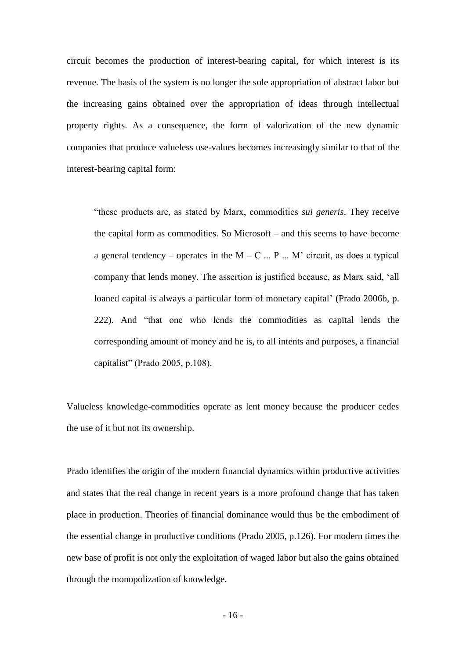circuit becomes the production of interest-bearing capital, for which interest is its revenue. The basis of the system is no longer the sole appropriation of abstract labor but the increasing gains obtained over the appropriation of ideas through intellectual property rights. As a consequence, the form of valorization of the new dynamic companies that produce valueless use-values becomes increasingly similar to that of the interest-bearing capital form:

―these products are, as stated by Marx, commodities *sui generis*. They receive the capital form as commodities. So Microsoft – and this seems to have become a general tendency – operates in the  $M - C$  ... P ... M' circuit, as does a typical company that lends money. The assertion is justified because, as Marx said, 'all loaned capital is always a particular form of monetary capital' (Prado 2006b, p. 222). And "that one who lends the commodities as capital lends the corresponding amount of money and he is, to all intents and purposes, a financial capitalist" (Prado 2005, p.108).

Valueless knowledge-commodities operate as lent money because the producer cedes the use of it but not its ownership.

Prado identifies the origin of the modern financial dynamics within productive activities and states that the real change in recent years is a more profound change that has taken place in production. Theories of financial dominance would thus be the embodiment of the essential change in productive conditions (Prado 2005, p.126). For modern times the new base of profit is not only the exploitation of waged labor but also the gains obtained through the monopolization of knowledge.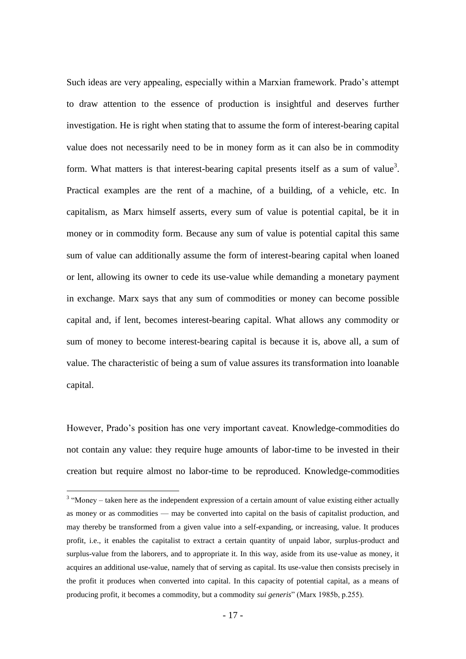Such ideas are very appealing, especially within a Marxian framework. Prado's attempt to draw attention to the essence of production is insightful and deserves further investigation. He is right when stating that to assume the form of interest-bearing capital value does not necessarily need to be in money form as it can also be in commodity form. What matters is that interest-bearing capital presents itself as a sum of value<sup>3</sup>. Practical examples are the rent of a machine, of a building, of a vehicle, etc. In capitalism, as Marx himself asserts, every sum of value is potential capital, be it in money or in commodity form. Because any sum of value is potential capital this same sum of value can additionally assume the form of interest-bearing capital when loaned or lent, allowing its owner to cede its use-value while demanding a monetary payment in exchange. Marx says that any sum of commodities or money can become possible capital and, if lent, becomes interest-bearing capital. What allows any commodity or sum of money to become interest-bearing capital is because it is, above all, a sum of value. The characteristic of being a sum of value assures its transformation into loanable capital.

However, Prado's position has one very important caveat. Knowledge-commodities do not contain any value: they require huge amounts of labor-time to be invested in their creation but require almost no labor-time to be reproduced. Knowledge-commodities

1

 $3$  "Money – taken here as the independent expression of a certain amount of value existing either actually as money or as commodities — may be converted into capital on the basis of capitalist production, and may thereby be transformed from a given value into a self-expanding, or increasing, value. It produces profit, i.e., it enables the capitalist to extract a certain quantity of unpaid labor, surplus-product and surplus-value from the laborers, and to appropriate it. In this way, aside from its use-value as money, it acquires an additional use-value, namely that of serving as capital. Its use-value then consists precisely in the profit it produces when converted into capital. In this capacity of potential capital, as a means of producing profit, it becomes a commodity, but a commodity *sui generis*" (Marx 1985b, p.255).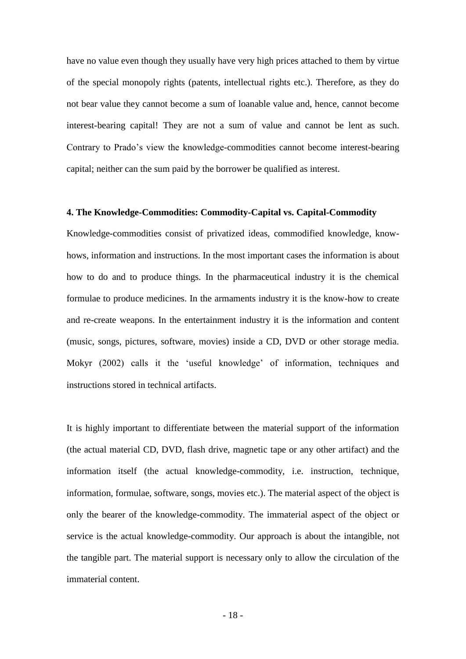have no value even though they usually have very high prices attached to them by virtue of the special monopoly rights (patents, intellectual rights etc.). Therefore, as they do not bear value they cannot become a sum of loanable value and, hence, cannot become interest-bearing capital! They are not a sum of value and cannot be lent as such. Contrary to Prado's view the knowledge-commodities cannot become interest-bearing capital; neither can the sum paid by the borrower be qualified as interest.

#### **4. The Knowledge-Commodities: Commodity-Capital vs. Capital-Commodity**

Knowledge-commodities consist of privatized ideas, commodified knowledge, knowhows, information and instructions. In the most important cases the information is about how to do and to produce things. In the pharmaceutical industry it is the chemical formulae to produce medicines. In the armaments industry it is the know-how to create and re-create weapons. In the entertainment industry it is the information and content (music, songs, pictures, software, movies) inside a CD, DVD or other storage media. Mokyr (2002) calls it the 'useful knowledge' of information, techniques and instructions stored in technical artifacts.

It is highly important to differentiate between the material support of the information (the actual material CD, DVD, flash drive, magnetic tape or any other artifact) and the information itself (the actual knowledge-commodity, i.e. instruction, technique, information, formulae, software, songs, movies etc.). The material aspect of the object is only the bearer of the knowledge-commodity. The immaterial aspect of the object or service is the actual knowledge-commodity. Our approach is about the intangible, not the tangible part. The material support is necessary only to allow the circulation of the immaterial content.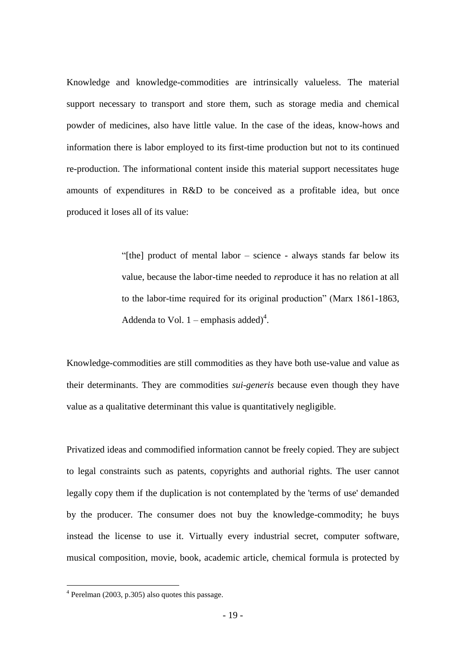Knowledge and knowledge-commodities are intrinsically valueless. The material support necessary to transport and store them, such as storage media and chemical powder of medicines, also have little value. In the case of the ideas, know-hows and information there is labor employed to its first-time production but not to its continued re-production. The informational content inside this material support necessitates huge amounts of expenditures in R&D to be conceived as a profitable idea, but once produced it loses all of its value:

> ―[the] product of mental labor – science - always stands far below its value, because the labor-time needed to *re*produce it has no relation at all to the labor-time required for its original production" (Marx 1861-1863, Addenda to Vol.  $1$  – emphasis added)<sup>4</sup>.

Knowledge-commodities are still commodities as they have both use-value and value as their determinants. They are commodities *sui-generis* because even though they have value as a qualitative determinant this value is quantitatively negligible.

Privatized ideas and commodified information cannot be freely copied. They are subject to legal constraints such as patents, copyrights and authorial rights. The user cannot legally copy them if the duplication is not contemplated by the 'terms of use' demanded by the producer. The consumer does not buy the knowledge-commodity; he buys instead the license to use it. Virtually every industrial secret, computer software, musical composition, movie, book, academic article, chemical formula is protected by

1

<sup>4</sup> Perelman (2003, p.305) also quotes this passage.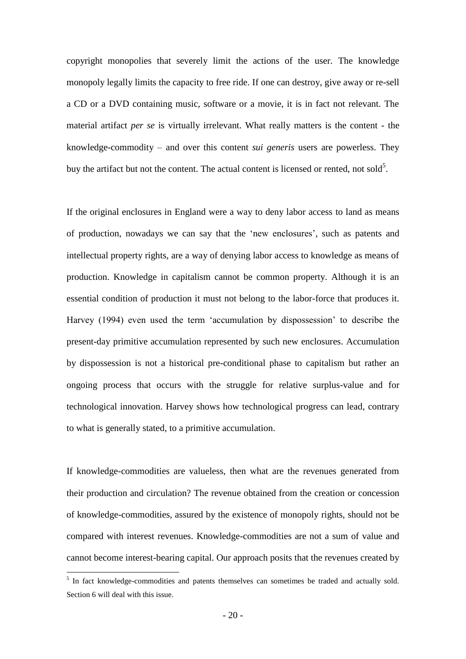copyright monopolies that severely limit the actions of the user. The knowledge monopoly legally limits the capacity to free ride. If one can destroy, give away or re-sell a CD or a DVD containing music, software or a movie, it is in fact not relevant. The material artifact *per se* is virtually irrelevant. What really matters is the content - the knowledge-commodity – and over this content *sui generis* users are powerless. They buy the artifact but not the content. The actual content is licensed or rented, not sold<sup>5</sup>.

If the original enclosures in England were a way to deny labor access to land as means of production, nowadays we can say that the ‗new enclosures', such as patents and intellectual property rights, are a way of denying labor access to knowledge as means of production. Knowledge in capitalism cannot be common property. Although it is an essential condition of production it must not belong to the labor-force that produces it. Harvey (1994) even used the term 'accumulation by dispossession' to describe the present-day primitive accumulation represented by such new enclosures. Accumulation by dispossession is not a historical pre-conditional phase to capitalism but rather an ongoing process that occurs with the struggle for relative surplus-value and for technological innovation. Harvey shows how technological progress can lead, contrary to what is generally stated, to a primitive accumulation.

If knowledge-commodities are valueless, then what are the revenues generated from their production and circulation? The revenue obtained from the creation or concession of knowledge-commodities, assured by the existence of monopoly rights, should not be compared with interest revenues. Knowledge-commodities are not a sum of value and cannot become interest-bearing capital. Our approach posits that the revenues created by

1

<sup>&</sup>lt;sup>5</sup> In fact knowledge-commodities and patents themselves can sometimes be traded and actually sold. Section 6 will deal with this issue.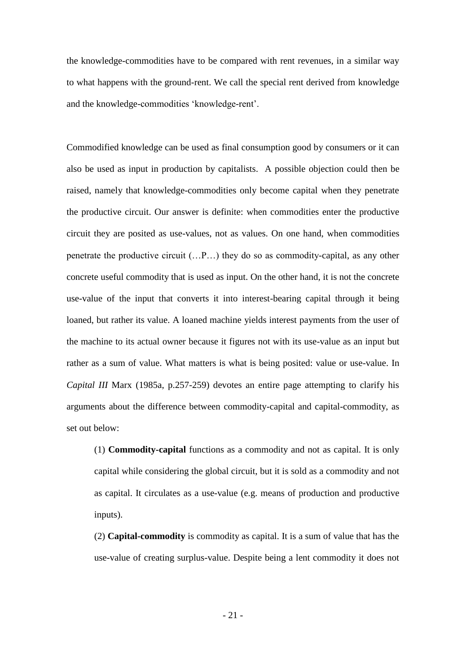the knowledge-commodities have to be compared with rent revenues, in a similar way to what happens with the ground-rent. We call the special rent derived from knowledge and the knowledge-commodities 'knowledge-rent'.

Commodified knowledge can be used as final consumption good by consumers or it can also be used as input in production by capitalists. A possible objection could then be raised, namely that knowledge-commodities only become capital when they penetrate the productive circuit. Our answer is definite: when commodities enter the productive circuit they are posited as use-values, not as values. On one hand, when commodities penetrate the productive circuit (…P…) they do so as commodity-capital, as any other concrete useful commodity that is used as input. On the other hand, it is not the concrete use-value of the input that converts it into interest-bearing capital through it being loaned, but rather its value. A loaned machine yields interest payments from the user of the machine to its actual owner because it figures not with its use-value as an input but rather as a sum of value. What matters is what is being posited: value or use-value. In *Capital III* Marx (1985a, p.257-259) devotes an entire page attempting to clarify his arguments about the difference between commodity-capital and capital-commodity, as set out below:

(1) **Commodity-capital** functions as a commodity and not as capital. It is only capital while considering the global circuit, but it is sold as a commodity and not as capital. It circulates as a use-value (e.g. means of production and productive inputs).

(2) **Capital-commodity** is commodity as capital. It is a sum of value that has the use-value of creating surplus-value. Despite being a lent commodity it does not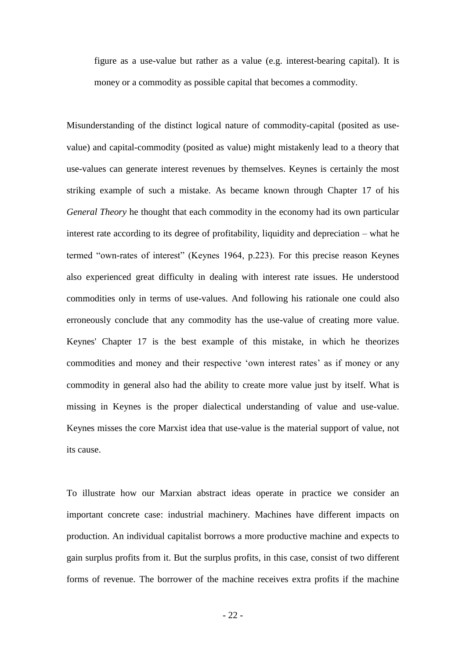figure as a use-value but rather as a value (e.g. interest-bearing capital). It is money or a commodity as possible capital that becomes a commodity.

Misunderstanding of the distinct logical nature of commodity-capital (posited as usevalue) and capital-commodity (posited as value) might mistakenly lead to a theory that use-values can generate interest revenues by themselves. Keynes is certainly the most striking example of such a mistake. As became known through Chapter 17 of his *General Theory* he thought that each commodity in the economy had its own particular interest rate according to its degree of profitability, liquidity and depreciation – what he termed "own-rates of interest" (Keynes 1964, p.223). For this precise reason Keynes also experienced great difficulty in dealing with interest rate issues. He understood commodities only in terms of use-values. And following his rationale one could also erroneously conclude that any commodity has the use-value of creating more value. Keynes' Chapter 17 is the best example of this mistake, in which he theorizes commodities and money and their respective 'own interest rates' as if money or any commodity in general also had the ability to create more value just by itself. What is missing in Keynes is the proper dialectical understanding of value and use-value. Keynes misses the core Marxist idea that use-value is the material support of value, not its cause.

To illustrate how our Marxian abstract ideas operate in practice we consider an important concrete case: industrial machinery. Machines have different impacts on production. An individual capitalist borrows a more productive machine and expects to gain surplus profits from it. But the surplus profits, in this case, consist of two different forms of revenue. The borrower of the machine receives extra profits if the machine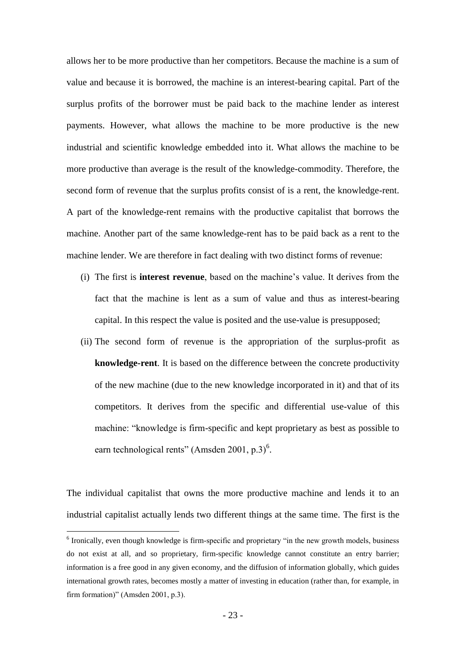allows her to be more productive than her competitors. Because the machine is a sum of value and because it is borrowed, the machine is an interest-bearing capital. Part of the surplus profits of the borrower must be paid back to the machine lender as interest payments. However, what allows the machine to be more productive is the new industrial and scientific knowledge embedded into it. What allows the machine to be more productive than average is the result of the knowledge-commodity. Therefore, the second form of revenue that the surplus profits consist of is a rent, the knowledge-rent. A part of the knowledge-rent remains with the productive capitalist that borrows the machine. Another part of the same knowledge-rent has to be paid back as a rent to the machine lender. We are therefore in fact dealing with two distinct forms of revenue:

- (i) The first is **interest revenue**, based on the machine's value. It derives from the fact that the machine is lent as a sum of value and thus as interest-bearing capital. In this respect the value is posited and the use-value is presupposed;
- (ii) The second form of revenue is the appropriation of the surplus-profit as **knowledge-rent**. It is based on the difference between the concrete productivity of the new machine (due to the new knowledge incorporated in it) and that of its competitors. It derives from the specific and differential use-value of this machine: "knowledge is firm-specific and kept proprietary as best as possible to earn technological rents" (Amsden 2001, p.3)<sup>6</sup>.

The individual capitalist that owns the more productive machine and lends it to an industrial capitalist actually lends two different things at the same time. The first is the

1

 $6$  Ironically, even though knowledge is firm-specific and proprietary "in the new growth models, business do not exist at all, and so proprietary, firm-specific knowledge cannot constitute an entry barrier; information is a free good in any given economy, and the diffusion of information globally, which guides international growth rates, becomes mostly a matter of investing in education (rather than, for example, in firm formation)" (Amsden 2001, p.3).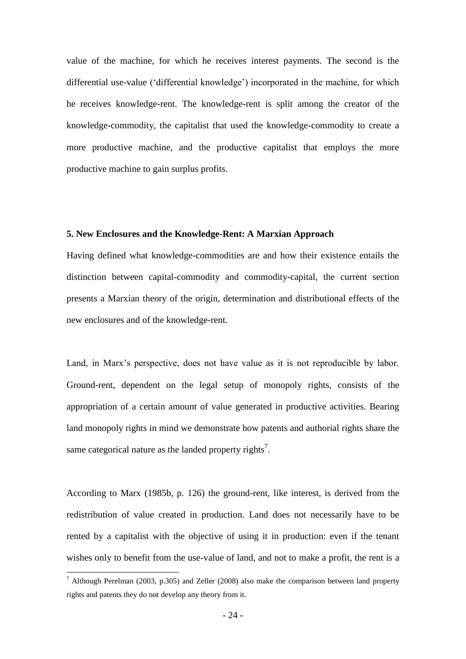value of the machine, for which he receives interest payments. The second is the differential use-value ('differential knowledge') incorporated in the machine, for which he receives knowledge-rent. The knowledge-rent is split among the creator of the knowledge-commodity, the capitalist that used the knowledge-commodity to create a more productive machine, and the productive capitalist that employs the more productive machine to gain surplus profits.

#### **5. New Enclosures and the Knowledge-Rent: A Marxian Approach**

Having defined what knowledge-commodities are and how their existence entails the distinction between capital-commodity and commodity-capital, the current section presents a Marxian theory of the origin, determination and distributional effects of the new enclosures and of the knowledge-rent.

Land, in Marx's perspective, does not have value as it is not reproducible by labor. Ground-rent, dependent on the legal setup of monopoly rights, consists of the appropriation of a certain amount of value generated in productive activities. Bearing land monopoly rights in mind we demonstrate how patents and authorial rights share the same categorical nature as the landed property rights<sup>7</sup>.

According to Marx (1985b, p. 126) the ground-rent, like interest, is derived from the redistribution of value created in production. Land does not necessarily have to be rented by a capitalist with the objective of using it in production: even if the tenant wishes only to benefit from the use-value of land, and not to make a profit, the rent is a

1

<sup>&</sup>lt;sup>7</sup> Although Perelman (2003, p.305) and Zeller (2008) also make the comparison between land property rights and patents they do not develop any theory from it.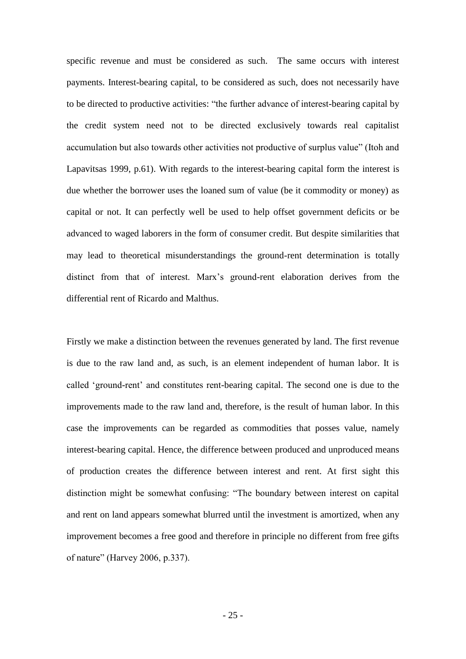specific revenue and must be considered as such. The same occurs with interest payments. Interest-bearing capital, to be considered as such, does not necessarily have to be directed to productive activities: "the further advance of interest-bearing capital by the credit system need not to be directed exclusively towards real capitalist accumulation but also towards other activities not productive of surplus value" (Itoh and Lapavitsas 1999, p.61). With regards to the interest-bearing capital form the interest is due whether the borrower uses the loaned sum of value (be it commodity or money) as capital or not. It can perfectly well be used to help offset government deficits or be advanced to waged laborers in the form of consumer credit. But despite similarities that may lead to theoretical misunderstandings the ground-rent determination is totally distinct from that of interest. Marx's ground-rent elaboration derives from the differential rent of Ricardo and Malthus.

Firstly we make a distinction between the revenues generated by land. The first revenue is due to the raw land and, as such, is an element independent of human labor. It is called ‗ground-rent' and constitutes rent-bearing capital. The second one is due to the improvements made to the raw land and, therefore, is the result of human labor. In this case the improvements can be regarded as commodities that posses value, namely interest-bearing capital. Hence, the difference between produced and unproduced means of production creates the difference between interest and rent. At first sight this distinction might be somewhat confusing: "The boundary between interest on capital and rent on land appears somewhat blurred until the investment is amortized, when any improvement becomes a free good and therefore in principle no different from free gifts of nature" (Harvey 2006, p.337).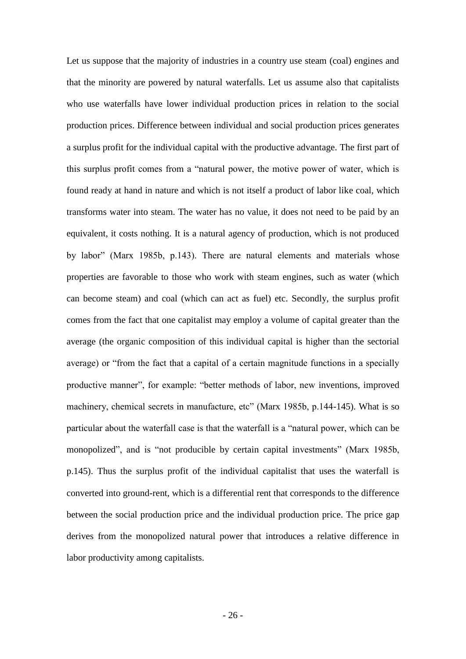Let us suppose that the majority of industries in a country use steam (coal) engines and that the minority are powered by natural waterfalls. Let us assume also that capitalists who use waterfalls have lower individual production prices in relation to the social production prices. Difference between individual and social production prices generates a surplus profit for the individual capital with the productive advantage. The first part of this surplus profit comes from a "natural power, the motive power of water, which is found ready at hand in nature and which is not itself a product of labor like coal, which transforms water into steam. The water has no value, it does not need to be paid by an equivalent, it costs nothing. It is a natural agency of production, which is not produced by labor" (Marx 1985b, p.143). There are natural elements and materials whose properties are favorable to those who work with steam engines, such as water (which can become steam) and coal (which can act as fuel) etc. Secondly, the surplus profit comes from the fact that one capitalist may employ a volume of capital greater than the average (the organic composition of this individual capital is higher than the sectorial average) or "from the fact that a capital of a certain magnitude functions in a specially productive manner", for example: "better methods of labor, new inventions, improved machinery, chemical secrets in manufacture, etc" (Marx 1985b, p.144-145). What is so particular about the waterfall case is that the waterfall is a "natural power, which can be monopolized", and is "not producible by certain capital investments" (Marx 1985b, p.145). Thus the surplus profit of the individual capitalist that uses the waterfall is converted into ground-rent, which is a differential rent that corresponds to the difference between the social production price and the individual production price. The price gap derives from the monopolized natural power that introduces a relative difference in labor productivity among capitalists.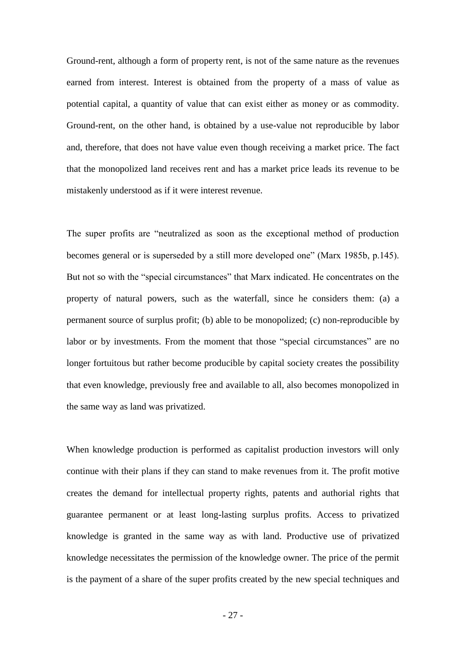Ground-rent, although a form of property rent, is not of the same nature as the revenues earned from interest. Interest is obtained from the property of a mass of value as potential capital, a quantity of value that can exist either as money or as commodity. Ground-rent, on the other hand, is obtained by a use-value not reproducible by labor and, therefore, that does not have value even though receiving a market price. The fact that the monopolized land receives rent and has a market price leads its revenue to be mistakenly understood as if it were interest revenue.

The super profits are "neutralized as soon as the exceptional method of production becomes general or is superseded by a still more developed one" (Marx 1985b, p.145). But not so with the "special circumstances" that Marx indicated. He concentrates on the property of natural powers, such as the waterfall, since he considers them: (a) a permanent source of surplus profit; (b) able to be monopolized; (c) non-reproducible by labor or by investments. From the moment that those "special circumstances" are no longer fortuitous but rather become producible by capital society creates the possibility that even knowledge, previously free and available to all, also becomes monopolized in the same way as land was privatized.

When knowledge production is performed as capitalist production investors will only continue with their plans if they can stand to make revenues from it. The profit motive creates the demand for intellectual property rights, patents and authorial rights that guarantee permanent or at least long-lasting surplus profits. Access to privatized knowledge is granted in the same way as with land. Productive use of privatized knowledge necessitates the permission of the knowledge owner. The price of the permit is the payment of a share of the super profits created by the new special techniques and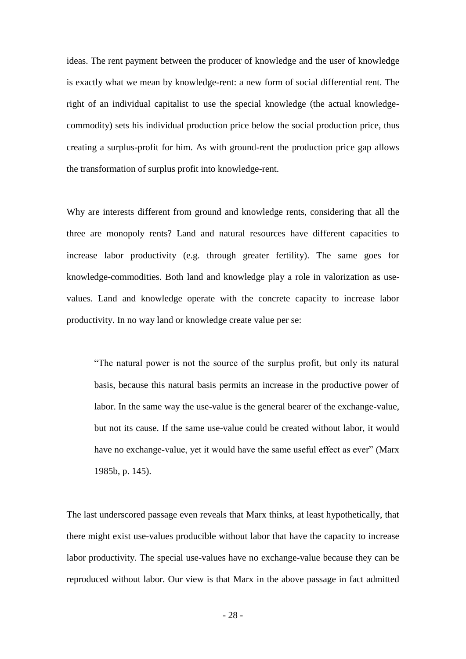ideas. The rent payment between the producer of knowledge and the user of knowledge is exactly what we mean by knowledge-rent: a new form of social differential rent. The right of an individual capitalist to use the special knowledge (the actual knowledgecommodity) sets his individual production price below the social production price, thus creating a surplus-profit for him. As with ground-rent the production price gap allows the transformation of surplus profit into knowledge-rent.

Why are interests different from ground and knowledge rents, considering that all the three are monopoly rents? Land and natural resources have different capacities to increase labor productivity (e.g. through greater fertility). The same goes for knowledge-commodities. Both land and knowledge play a role in valorization as usevalues. Land and knowledge operate with the concrete capacity to increase labor productivity. In no way land or knowledge create value per se:

―The natural power is not the source of the surplus profit, but only its natural basis, because this natural basis permits an increase in the productive power of labor. In the same way the use-value is the general bearer of the exchange-value, but not its cause. If the same use-value could be created without labor, it would have no exchange-value, yet it would have the same useful effect as ever" (Marx 1985b, p. 145).

The last underscored passage even reveals that Marx thinks, at least hypothetically, that there might exist use-values producible without labor that have the capacity to increase labor productivity. The special use-values have no exchange-value because they can be reproduced without labor. Our view is that Marx in the above passage in fact admitted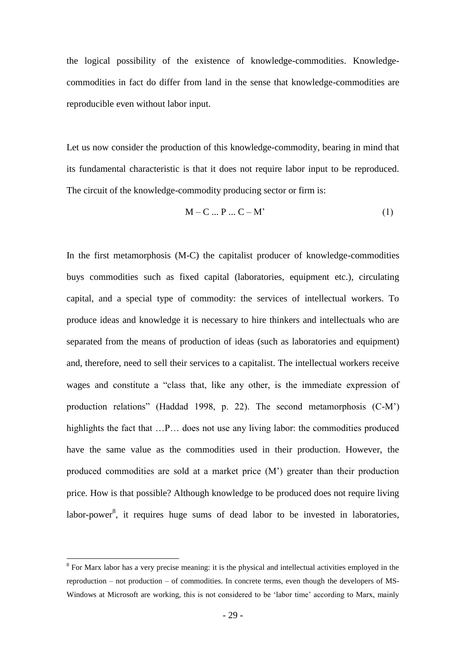the logical possibility of the existence of knowledge-commodities. Knowledgecommodities in fact do differ from land in the sense that knowledge-commodities are reproducible even without labor input.

Let us now consider the production of this knowledge-commodity, bearing in mind that its fundamental characteristic is that it does not require labor input to be reproduced. The circuit of the knowledge-commodity producing sector or firm is:

$$
M - C \dots P \dots C - M'
$$
 (1)

In the first metamorphosis (M-C) the capitalist producer of knowledge-commodities buys commodities such as fixed capital (laboratories, equipment etc.), circulating capital, and a special type of commodity: the services of intellectual workers. To produce ideas and knowledge it is necessary to hire thinkers and intellectuals who are separated from the means of production of ideas (such as laboratories and equipment) and, therefore, need to sell their services to a capitalist. The intellectual workers receive wages and constitute a "class that, like any other, is the immediate expression of production relations" (Haddad 1998, p. 22). The second metamorphosis  $(C-M)$ highlights the fact that …P… does not use any living labor: the commodities produced have the same value as the commodities used in their production. However, the produced commodities are sold at a market price (M') greater than their production price. How is that possible? Although knowledge to be produced does not require living labor-power<sup>8</sup>, it requires huge sums of dead labor to be invested in laboratories,

1

<sup>&</sup>lt;sup>8</sup> For Marx labor has a very precise meaning: it is the physical and intellectual activities employed in the reproduction – not production – of commodities. In concrete terms, even though the developers of MS-Windows at Microsoft are working, this is not considered to be ‗labor time' according to Marx, mainly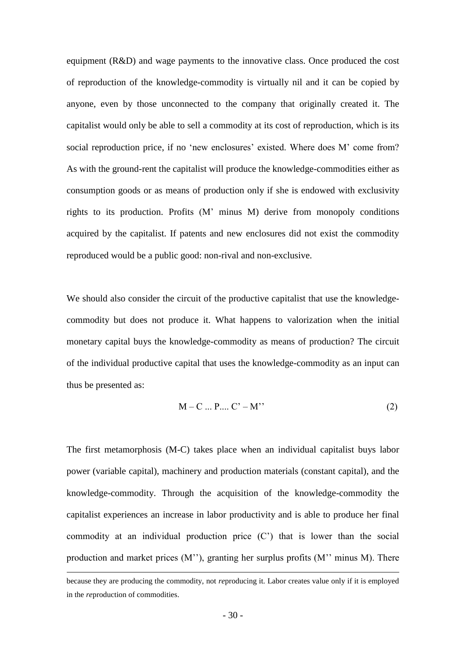equipment (R&D) and wage payments to the innovative class. Once produced the cost of reproduction of the knowledge-commodity is virtually nil and it can be copied by anyone, even by those unconnected to the company that originally created it. The capitalist would only be able to sell a commodity at its cost of reproduction, which is its social reproduction price, if no 'new enclosures' existed. Where does M' come from? As with the ground-rent the capitalist will produce the knowledge-commodities either as consumption goods or as means of production only if she is endowed with exclusivity rights to its production. Profits (M' minus M) derive from monopoly conditions acquired by the capitalist. If patents and new enclosures did not exist the commodity reproduced would be a public good: non-rival and non-exclusive.

We should also consider the circuit of the productive capitalist that use the knowledgecommodity but does not produce it. What happens to valorization when the initial monetary capital buys the knowledge-commodity as means of production? The circuit of the individual productive capital that uses the knowledge-commodity as an input can thus be presented as:

$$
M - C ... P ... C' - M'.
$$
 (2)

The first metamorphosis (M-C) takes place when an individual capitalist buys labor power (variable capital), machinery and production materials (constant capital), and the knowledge-commodity. Through the acquisition of the knowledge-commodity the capitalist experiences an increase in labor productivity and is able to produce her final commodity at an individual production price (C') that is lower than the social production and market prices (M''), granting her surplus profits (M'' minus M). There

1

because they are producing the commodity, not *re*producing it. Labor creates value only if it is employed in the *re*production of commodities.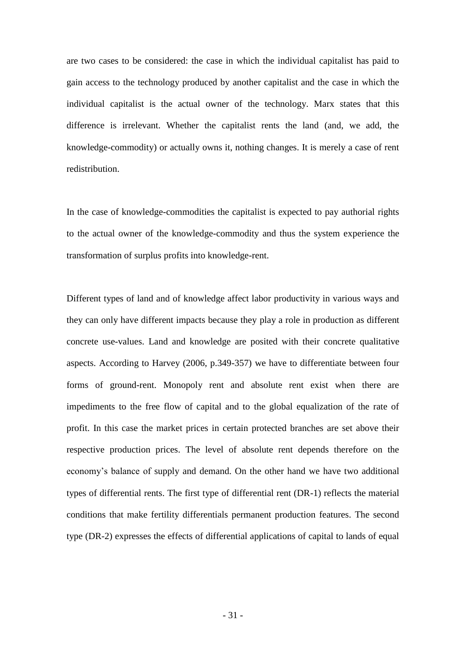are two cases to be considered: the case in which the individual capitalist has paid to gain access to the technology produced by another capitalist and the case in which the individual capitalist is the actual owner of the technology. Marx states that this difference is irrelevant. Whether the capitalist rents the land (and, we add, the knowledge-commodity) or actually owns it, nothing changes. It is merely a case of rent redistribution.

In the case of knowledge-commodities the capitalist is expected to pay authorial rights to the actual owner of the knowledge-commodity and thus the system experience the transformation of surplus profits into knowledge-rent.

Different types of land and of knowledge affect labor productivity in various ways and they can only have different impacts because they play a role in production as different concrete use-values. Land and knowledge are posited with their concrete qualitative aspects. According to Harvey (2006, p.349-357) we have to differentiate between four forms of ground-rent. Monopoly rent and absolute rent exist when there are impediments to the free flow of capital and to the global equalization of the rate of profit. In this case the market prices in certain protected branches are set above their respective production prices. The level of absolute rent depends therefore on the economy's balance of supply and demand. On the other hand we have two additional types of differential rents. The first type of differential rent (DR-1) reflects the material conditions that make fertility differentials permanent production features. The second type (DR-2) expresses the effects of differential applications of capital to lands of equal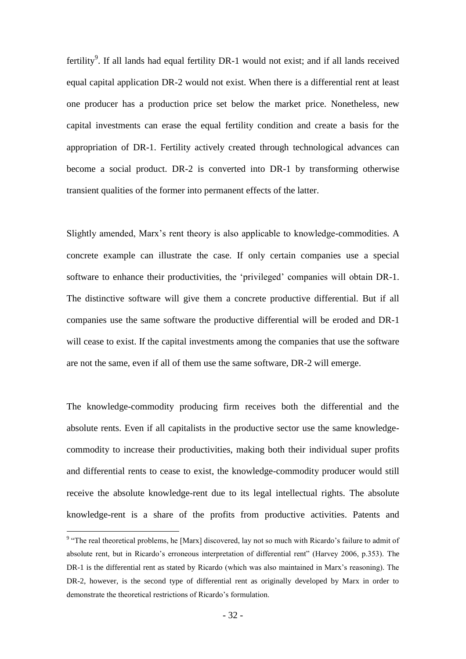fertility<sup>9</sup>. If all lands had equal fertility DR-1 would not exist; and if all lands received equal capital application DR-2 would not exist. When there is a differential rent at least one producer has a production price set below the market price. Nonetheless, new capital investments can erase the equal fertility condition and create a basis for the appropriation of DR-1. Fertility actively created through technological advances can become a social product. DR-2 is converted into DR-1 by transforming otherwise transient qualities of the former into permanent effects of the latter.

Slightly amended, Marx's rent theory is also applicable to knowledge-commodities. A concrete example can illustrate the case. If only certain companies use a special software to enhance their productivities, the 'privileged' companies will obtain DR-1. The distinctive software will give them a concrete productive differential. But if all companies use the same software the productive differential will be eroded and DR-1 will cease to exist. If the capital investments among the companies that use the software are not the same, even if all of them use the same software, DR-2 will emerge.

The knowledge-commodity producing firm receives both the differential and the absolute rents. Even if all capitalists in the productive sector use the same knowledgecommodity to increase their productivities, making both their individual super profits and differential rents to cease to exist, the knowledge-commodity producer would still receive the absolute knowledge-rent due to its legal intellectual rights. The absolute knowledge-rent is a share of the profits from productive activities. Patents and

1

<sup>&</sup>lt;sup>9</sup> "The real theoretical problems, he [Marx] discovered, lay not so much with Ricardo's failure to admit of absolute rent, but in Ricardo's erroneous interpretation of differential rent" (Harvey 2006, p.353). The DR-1 is the differential rent as stated by Ricardo (which was also maintained in Marx's reasoning). The DR-2, however, is the second type of differential rent as originally developed by Marx in order to demonstrate the theoretical restrictions of Ricardo's formulation.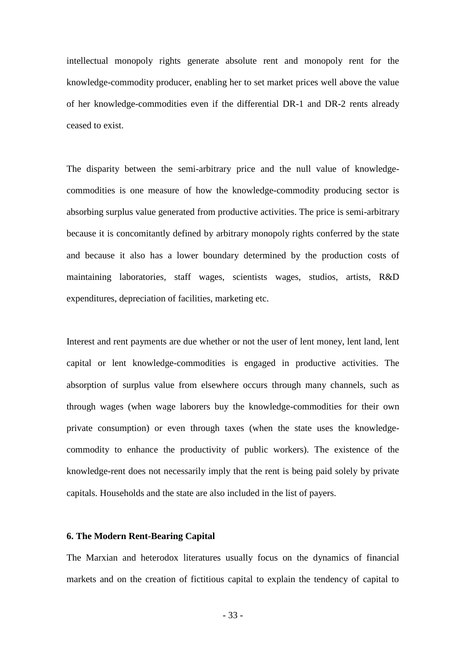intellectual monopoly rights generate absolute rent and monopoly rent for the knowledge-commodity producer, enabling her to set market prices well above the value of her knowledge-commodities even if the differential DR-1 and DR-2 rents already ceased to exist.

The disparity between the semi-arbitrary price and the null value of knowledgecommodities is one measure of how the knowledge-commodity producing sector is absorbing surplus value generated from productive activities. The price is semi-arbitrary because it is concomitantly defined by arbitrary monopoly rights conferred by the state and because it also has a lower boundary determined by the production costs of maintaining laboratories, staff wages, scientists wages, studios, artists, R&D expenditures, depreciation of facilities, marketing etc.

Interest and rent payments are due whether or not the user of lent money, lent land, lent capital or lent knowledge-commodities is engaged in productive activities. The absorption of surplus value from elsewhere occurs through many channels, such as through wages (when wage laborers buy the knowledge-commodities for their own private consumption) or even through taxes (when the state uses the knowledgecommodity to enhance the productivity of public workers). The existence of the knowledge-rent does not necessarily imply that the rent is being paid solely by private capitals. Households and the state are also included in the list of payers.

#### **6. The Modern Rent-Bearing Capital**

The Marxian and heterodox literatures usually focus on the dynamics of financial markets and on the creation of fictitious capital to explain the tendency of capital to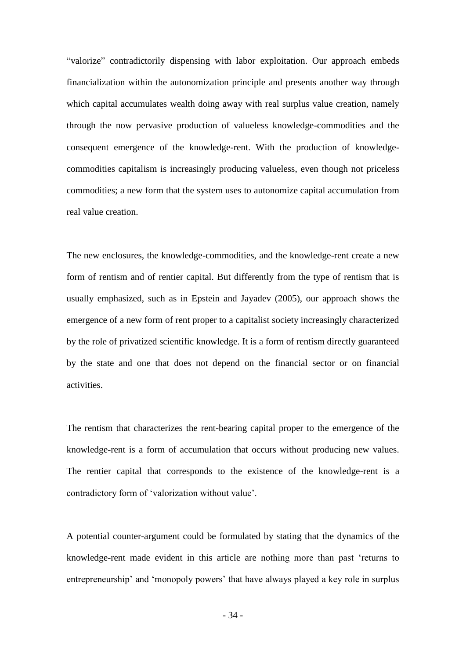"valorize" contradictorily dispensing with labor exploitation. Our approach embeds financialization within the autonomization principle and presents another way through which capital accumulates wealth doing away with real surplus value creation, namely through the now pervasive production of valueless knowledge-commodities and the consequent emergence of the knowledge-rent. With the production of knowledgecommodities capitalism is increasingly producing valueless, even though not priceless commodities; a new form that the system uses to autonomize capital accumulation from real value creation.

The new enclosures, the knowledge-commodities, and the knowledge-rent create a new form of rentism and of rentier capital. But differently from the type of rentism that is usually emphasized, such as in Epstein and Jayadev (2005), our approach shows the emergence of a new form of rent proper to a capitalist society increasingly characterized by the role of privatized scientific knowledge. It is a form of rentism directly guaranteed by the state and one that does not depend on the financial sector or on financial activities.

The rentism that characterizes the rent-bearing capital proper to the emergence of the knowledge-rent is a form of accumulation that occurs without producing new values. The rentier capital that corresponds to the existence of the knowledge-rent is a contradictory form of 'valorization without value'.

A potential counter-argument could be formulated by stating that the dynamics of the knowledge-rent made evident in this article are nothing more than past ‗returns to entrepreneurship' and 'monopoly powers' that have always played a key role in surplus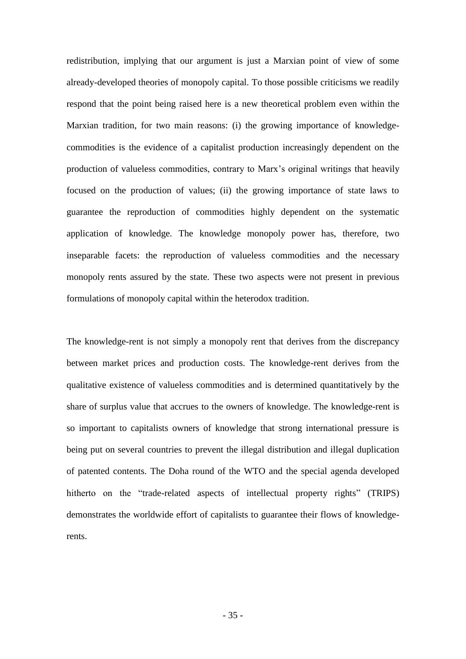redistribution, implying that our argument is just a Marxian point of view of some already-developed theories of monopoly capital. To those possible criticisms we readily respond that the point being raised here is a new theoretical problem even within the Marxian tradition, for two main reasons: (i) the growing importance of knowledgecommodities is the evidence of a capitalist production increasingly dependent on the production of valueless commodities, contrary to Marx's original writings that heavily focused on the production of values; (ii) the growing importance of state laws to guarantee the reproduction of commodities highly dependent on the systematic application of knowledge. The knowledge monopoly power has, therefore, two inseparable facets: the reproduction of valueless commodities and the necessary monopoly rents assured by the state. These two aspects were not present in previous formulations of monopoly capital within the heterodox tradition.

The knowledge-rent is not simply a monopoly rent that derives from the discrepancy between market prices and production costs. The knowledge-rent derives from the qualitative existence of valueless commodities and is determined quantitatively by the share of surplus value that accrues to the owners of knowledge. The knowledge-rent is so important to capitalists owners of knowledge that strong international pressure is being put on several countries to prevent the illegal distribution and illegal duplication of patented contents. The Doha round of the WTO and the special agenda developed hitherto on the "trade-related aspects of intellectual property rights" (TRIPS) demonstrates the worldwide effort of capitalists to guarantee their flows of knowledgerents.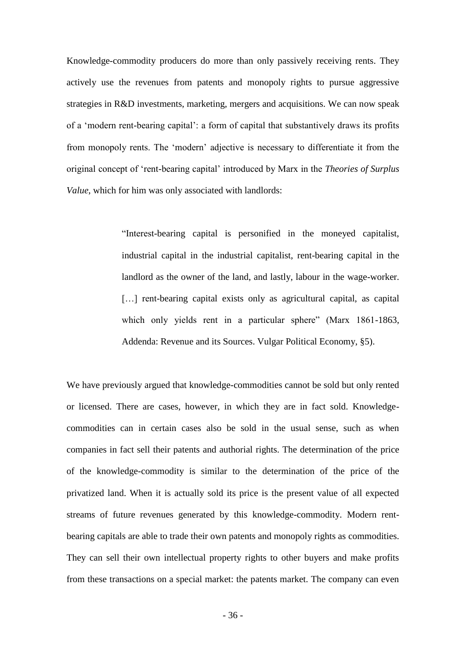Knowledge-commodity producers do more than only passively receiving rents. They actively use the revenues from patents and monopoly rights to pursue aggressive strategies in R&D investments, marketing, mergers and acquisitions. We can now speak of a ‗modern rent-bearing capital': a form of capital that substantively draws its profits from monopoly rents. The 'modern' adjective is necessary to differentiate it from the original concept of ‗rent-bearing capital' introduced by Marx in the *Theories of Surplus Value*, which for him was only associated with landlords:

> ―Interest-bearing capital is personified in the moneyed capitalist, industrial capital in the industrial capitalist, rent-bearing capital in the landlord as the owner of the land, and lastly, labour in the wage-worker. [...] rent-bearing capital exists only as agricultural capital, as capital which only yields rent in a particular sphere" (Marx 1861-1863, Addenda: Revenue and its Sources. Vulgar Political Economy, §5).

We have previously argued that knowledge-commodities cannot be sold but only rented or licensed. There are cases, however, in which they are in fact sold. Knowledgecommodities can in certain cases also be sold in the usual sense, such as when companies in fact sell their patents and authorial rights. The determination of the price of the knowledge-commodity is similar to the determination of the price of the privatized land. When it is actually sold its price is the present value of all expected streams of future revenues generated by this knowledge-commodity. Modern rentbearing capitals are able to trade their own patents and monopoly rights as commodities. They can sell their own intellectual property rights to other buyers and make profits from these transactions on a special market: the patents market. The company can even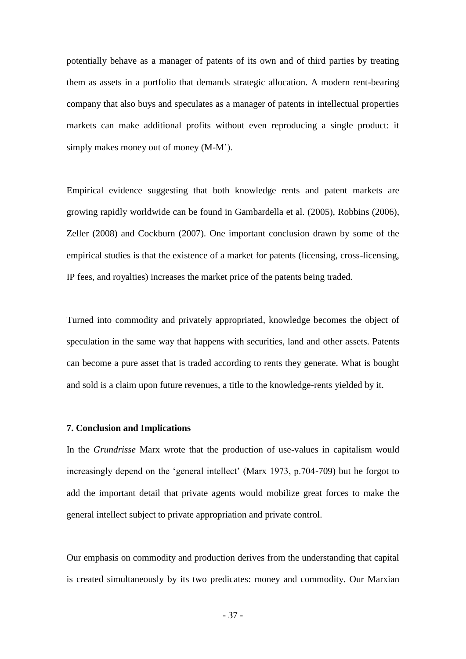potentially behave as a manager of patents of its own and of third parties by treating them as assets in a portfolio that demands strategic allocation. A modern rent-bearing company that also buys and speculates as a manager of patents in intellectual properties markets can make additional profits without even reproducing a single product: it simply makes money out of money (M-M').

Empirical evidence suggesting that both knowledge rents and patent markets are growing rapidly worldwide can be found in Gambardella et al. (2005), Robbins (2006), Zeller (2008) and Cockburn (2007). One important conclusion drawn by some of the empirical studies is that the existence of a market for patents (licensing, cross-licensing, IP fees, and royalties) increases the market price of the patents being traded.

Turned into commodity and privately appropriated, knowledge becomes the object of speculation in the same way that happens with securities, land and other assets. Patents can become a pure asset that is traded according to rents they generate. What is bought and sold is a claim upon future revenues, a title to the knowledge-rents yielded by it.

#### **7. Conclusion and Implications**

In the *Grundrisse* Marx wrote that the production of use-values in capitalism would increasingly depend on the 'general intellect' (Marx 1973, p.704-709) but he forgot to add the important detail that private agents would mobilize great forces to make the general intellect subject to private appropriation and private control.

Our emphasis on commodity and production derives from the understanding that capital is created simultaneously by its two predicates: money and commodity. Our Marxian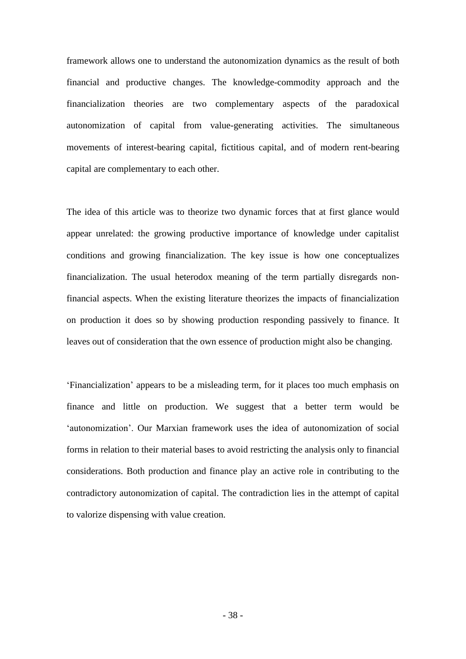framework allows one to understand the autonomization dynamics as the result of both financial and productive changes. The knowledge-commodity approach and the financialization theories are two complementary aspects of the paradoxical autonomization of capital from value-generating activities. The simultaneous movements of interest-bearing capital, fictitious capital, and of modern rent-bearing capital are complementary to each other.

The idea of this article was to theorize two dynamic forces that at first glance would appear unrelated: the growing productive importance of knowledge under capitalist conditions and growing financialization. The key issue is how one conceptualizes financialization. The usual heterodox meaning of the term partially disregards nonfinancial aspects. When the existing literature theorizes the impacts of financialization on production it does so by showing production responding passively to finance. It leaves out of consideration that the own essence of production might also be changing.

‗Financialization' appears to be a misleading term, for it places too much emphasis on finance and little on production. We suggest that a better term would be ‗autonomization'. Our Marxian framework uses the idea of autonomization of social forms in relation to their material bases to avoid restricting the analysis only to financial considerations. Both production and finance play an active role in contributing to the contradictory autonomization of capital. The contradiction lies in the attempt of capital to valorize dispensing with value creation.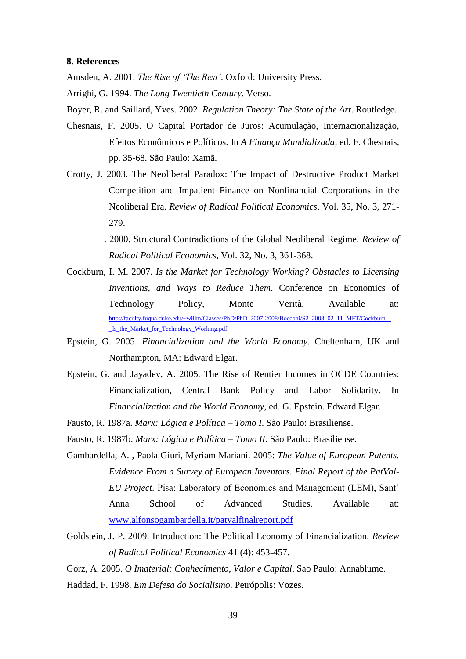#### **8. References**

Amsden, A. 2001. *The Rise of 'The Rest'*. Oxford: University Press.

Arrighi, G. 1994. *The Long Twentieth Century*. Verso.

Boyer, R. and Saillard, Yves. 2002. *Regulation Theory: The State of the Art*. Routledge.

- Chesnais, F. 2005. O Capital Portador de Juros: Acumulação, Internacionalização, Efeitos Econômicos e Políticos. In *A Finança Mundializada*, ed. F. Chesnais, pp. 35-68. São Paulo: Xamã.
- Crotty, J. 2003. The Neoliberal Paradox: The Impact of Destructive Product Market Competition and Impatient Finance on Nonfinancial Corporations in the Neoliberal Era. *Review of Radical Political Economics*, Vol. 35, No. 3, 271- 279.
- \_\_\_\_\_\_\_\_. 2000. Structural Contradictions of the Global Neoliberal Regime. *Review of Radical Political Economics*, Vol. 32, No. 3, 361-368.
- Cockburn, I. M. 2007. *Is the Market for Technology Working? Obstacles to Licensing Inventions, and Ways to Reduce Them*. Conference on Economics of Technology Policy, Monte Verità. Available at: [http://faculty.fuqua.duke.edu/~willm/Classes/PhD/PhD\\_2007-2008/Bocconi/S2\\_2008\\_02\\_11\\_MFT/Cockburn\\_-](http://faculty.fuqua.duke.edu/~willm/Classes/PhD/PhD_2007-2008/Bocconi/S2_2008_02_11_MFT/Cockburn_-_Is_the_Market_for_Technology_Working.pdf) [\\_Is\\_the\\_Market\\_for\\_Technology\\_Working.pdf](http://faculty.fuqua.duke.edu/~willm/Classes/PhD/PhD_2007-2008/Bocconi/S2_2008_02_11_MFT/Cockburn_-_Is_the_Market_for_Technology_Working.pdf)
- Epstein, G. 2005. *Financialization and the World Economy*. Cheltenham, UK and Northampton, MA: Edward Elgar.
- Epstein, G. and Jayadev, A. 2005. The Rise of Rentier Incomes in OCDE Countries: Financialization, Central Bank Policy and Labor Solidarity. In *Financialization and the World Economy*, ed. G. Epstein. Edward Elgar.
- Fausto, R. 1987a. *Marx: Lógica e Política – Tomo I*. São Paulo: Brasiliense.
- Fausto, R. 1987b. *Marx: Lógica e Política – Tomo II*. São Paulo: Brasiliense.
- Gambardella, A. , Paola Giuri, Myriam Mariani. 2005: *The Value of European Patents. Evidence From a Survey of European Inventors. Final Report of the PatVal-EU Project*. Pisa: Laboratory of Economics and Management (LEM), Sant' Anna School of Advanced Studies. Available at: [www.alfonsogambardella.it/patvalfinalreport.pdf](http://www.alfonsogambardella.it/patvalfinalreport.pdf)
- Goldstein, J. P. 2009. Introduction: The Political Economy of Financialization. *Review of Radical Political Economics* 41 (4): 453-457.

Gorz, A. 2005. *O Imaterial: Conhecimento, Valor e Capital*. Sao Paulo: Annablume.

Haddad, F. 1998. *Em Defesa do Socialismo*. Petrópolis: Vozes.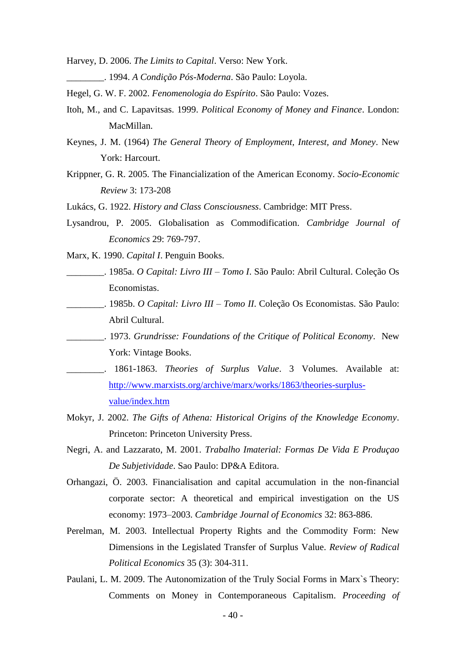Harvey, D. 2006. *The Limits to Capital*. Verso: New York.

- \_\_\_\_\_\_\_\_. 1994. *A Condição Pós-Moderna*. São Paulo: Loyola.
- Hegel, G. W. F. 2002. *Fenomenologia do Espírito*. São Paulo: Vozes.
- Itoh, M., and C. Lapavitsas. 1999. *Political Economy of Money and Finance*. London: MacMillan.
- Keynes, J. M. (1964) *The General Theory of Employment, Interest, and Money*. New York: Harcourt.
- Krippner, G. R. 2005. The Financialization of the American Economy. *Socio-Economic Review* 3: 173-208
- Lukács, G. 1922. *History and Class Consciousness*. Cambridge: MIT Press.
- Lysandrou, P. 2005. Globalisation as Commodification. *Cambridge Journal of Economics* 29: 769-797.
- Marx, K. 1990. *Capital I*. Penguin Books.
- \_\_\_\_\_\_\_\_. 1985a. *O Capital: Livro III – Tomo I*. São Paulo: Abril Cultural. Coleção Os Economistas.
- \_\_\_\_\_\_\_\_. 1985b. *O Capital: Livro III – Tomo II*. Coleção Os Economistas. São Paulo: Abril Cultural.
- \_\_\_\_\_\_\_\_. 1973. *Grundrisse: Foundations of the Critique of Political Economy*. New York: Vintage Books.
- \_\_\_\_\_\_\_\_. 1861-1863. *Theories of Surplus Value*. 3 Volumes. Available at: [http://www.marxists.org/archive/marx/works/1863/theories-surplus](http://www.marxists.org/archive/marx/works/1863/theories-surplus-value/index.htm)[value/index.htm](http://www.marxists.org/archive/marx/works/1863/theories-surplus-value/index.htm)
- Mokyr, J. 2002. *The Gifts of Athena: Historical Origins of the Knowledge Economy*. Princeton: Princeton University Press.
- Negri, A. and Lazzarato, M. 2001. *Trabalho Imaterial: Formas De Vida E Produçao De Subjetividade*. Sao Paulo: DP&A Editora.
- Orhangazi, Ö. 2003. Financialisation and capital accumulation in the non-financial corporate sector: A theoretical and empirical investigation on the US economy: 1973–2003. *Cambridge Journal of Economics* 32: 863-886.
- Perelman, M. 2003. Intellectual Property Rights and the Commodity Form: New Dimensions in the Legislated Transfer of Surplus Value. *Review of Radical Political Economics* 35 (3): 304-311.
- Paulani, L. M. 2009. The Autonomization of the Truly Social Forms in Marx`s Theory: Comments on Money in Contemporaneous Capitalism. *Proceeding of*